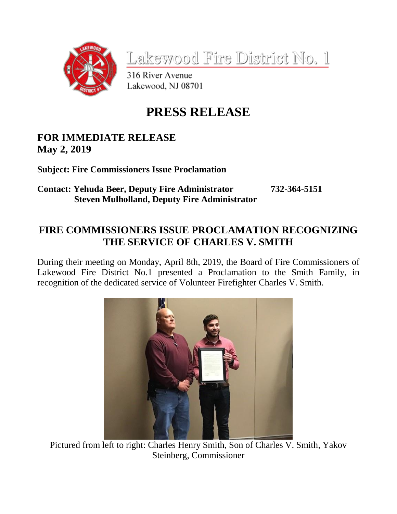

Lakewood Fire District No. 1

316 River Avenue Lakewood, NJ 08701

## **PRESS RELEASE**

## **FOR IMMEDIATE RELEASE May 2, 2019**

**Subject: Fire Commissioners Issue Proclamation**

## **Contact: Yehuda Beer, Deputy Fire Administrator 732-364-5151 Steven Mulholland, Deputy Fire Administrator**

## **FIRE COMMISSIONERS ISSUE PROCLAMATION RECOGNIZING THE SERVICE OF CHARLES V. SMITH**

During their meeting on Monday, April 8th, 2019, the Board of Fire Commissioners of Lakewood Fire District No.1 presented a Proclamation to the Smith Family, in recognition of the dedicated service of Volunteer Firefighter Charles V. Smith.



Pictured from left to right: Charles Henry Smith, Son of Charles V. Smith, Yakov Steinberg, Commissioner